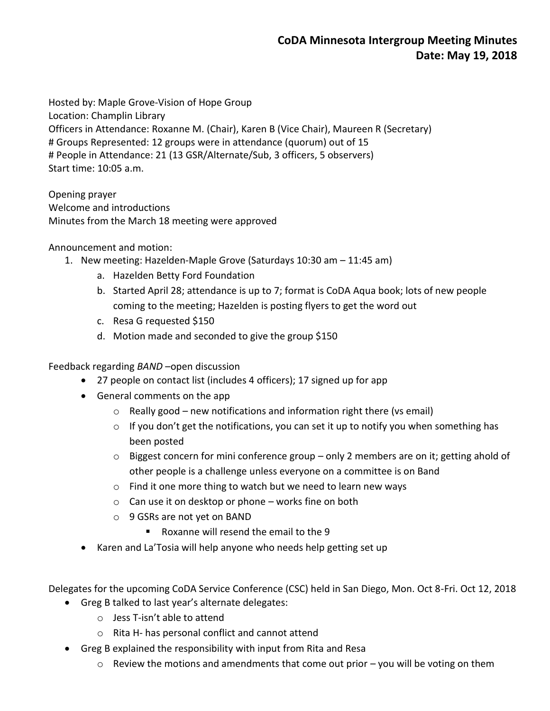Hosted by: Maple Grove-Vision of Hope Group Location: Champlin Library Officers in Attendance: Roxanne M. (Chair), Karen B (Vice Chair), Maureen R (Secretary) # Groups Represented: 12 groups were in attendance (quorum) out of 15 # People in Attendance: 21 (13 GSR/Alternate/Sub, 3 officers, 5 observers) Start time: 10:05 a.m.

Opening prayer Welcome and introductions Minutes from the March 18 meeting were approved

## Announcement and motion:

- 1. New meeting: Hazelden-Maple Grove (Saturdays 10:30 am 11:45 am)
	- a. Hazelden Betty Ford Foundation
	- b. Started April 28; attendance is up to 7; format is CoDA Aqua book; lots of new people coming to the meeting; Hazelden is posting flyers to get the word out
	- c. Resa G requested \$150
	- d. Motion made and seconded to give the group \$150

Feedback regarding *BAND* –open discussion

- 27 people on contact list (includes 4 officers); 17 signed up for app
- General comments on the app
	- $\circ$  Really good new notifications and information right there (vs email)
	- $\circ$  If you don't get the notifications, you can set it up to notify you when something has been posted
	- $\circ$  Biggest concern for mini conference group only 2 members are on it; getting ahold of other people is a challenge unless everyone on a committee is on Band
	- o Find it one more thing to watch but we need to learn new ways
	- $\circ$  Can use it on desktop or phone works fine on both
	- o 9 GSRs are not yet on BAND
		- Roxanne will resend the email to the 9
- Karen and La'Tosia will help anyone who needs help getting set up

Delegates for the upcoming CoDA Service Conference (CSC) held in San Diego, Mon. Oct 8-Fri. Oct 12, 2018

- Greg B talked to last year's alternate delegates:
	- o Jess T-isn't able to attend
	- o Rita H- has personal conflict and cannot attend
- Greg B explained the responsibility with input from Rita and Resa
	- $\circ$  Review the motions and amendments that come out prior you will be voting on them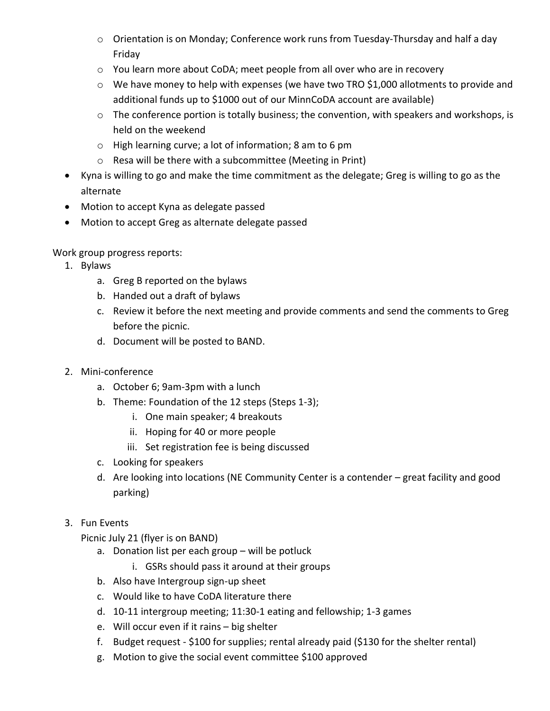- o Orientation is on Monday; Conference work runs from Tuesday-Thursday and half a day Friday
- o You learn more about CoDA; meet people from all over who are in recovery
- o We have money to help with expenses (we have two TRO \$1,000 allotments to provide and additional funds up to \$1000 out of our MinnCoDA account are available)
- o The conference portion is totally business; the convention, with speakers and workshops, is held on the weekend
- o High learning curve; a lot of information; 8 am to 6 pm
- o Resa will be there with a subcommittee (Meeting in Print)
- Kyna is willing to go and make the time commitment as the delegate; Greg is willing to go as the alternate
- Motion to accept Kyna as delegate passed
- Motion to accept Greg as alternate delegate passed

Work group progress reports:

- 1. Bylaws
	- a. Greg B reported on the bylaws
	- b. Handed out a draft of bylaws
	- c. Review it before the next meeting and provide comments and send the comments to Greg before the picnic.
	- d. Document will be posted to BAND.
- 2. Mini-conference
	- a. October 6; 9am-3pm with a lunch
	- b. Theme: Foundation of the 12 steps (Steps 1-3);
		- i. One main speaker; 4 breakouts
		- ii. Hoping for 40 or more people
		- iii. Set registration fee is being discussed
	- c. Looking for speakers
	- d. Are looking into locations (NE Community Center is a contender great facility and good parking)
- 3. Fun Events

Picnic July 21 (flyer is on BAND)

- a. Donation list per each group will be potluck
	- i. GSRs should pass it around at their groups
- b. Also have Intergroup sign-up sheet
- c. Would like to have CoDA literature there
- d. 10-11 intergroup meeting; 11:30-1 eating and fellowship; 1-3 games
- e. Will occur even if it rains big shelter
- f. Budget request \$100 for supplies; rental already paid (\$130 for the shelter rental)
- g. Motion to give the social event committee \$100 approved